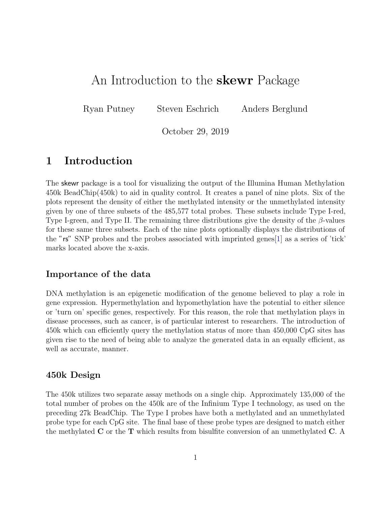# An Introduction to the **skewr** Package

Ryan Putney Steven Eschrich Anders Berglund

October 29, 2019

# 1 Introduction

The skewr package is a tool for visualizing the output of the Illumina Human Methylation 450k BeadChip(450k) to aid in quality control. It creates a panel of nine plots. Six of the plots represent the density of either the methylated intensity or the unmethylated intensity given by one of three subsets of the 485,577 total probes. These subsets include Type I-red, Type I-green, and Type II. The remaining three distributions give the density of the  $\beta$ -values for these same three subsets. Each of the nine plots optionally displays the distributions of the "rs" SNP probes and the probes associated with imprinted genes[\[1\]](#page-11-0) as a series of 'tick' marks located above the x-axis.

## Importance of the data

DNA methylation is an epigenetic modification of the genome believed to play a role in gene expression. Hypermethylation and hypomethylation have the potential to either silence or 'turn on' specific genes, respectively. For this reason, the role that methylation plays in disease processes, such as cancer, is of particular interest to researchers. The introduction of 450k which can efficiently query the methylation status of more than 450,000 CpG sites has given rise to the need of being able to analyze the generated data in an equally efficient, as well as accurate, manner.

## 450k Design

The 450k utilizes two separate assay methods on a single chip. Approximately 135,000 of the total number of probes on the 450k are of the Infinium Type I technology, as used on the preceding 27k BeadChip. The Type I probes have both a methylated and an unmethylated probe type for each CpG site. The final base of these probe types are designed to match either the methylated  $C$  or the  $T$  which results from bisulfite conversion of an unmethylated  $C$ . A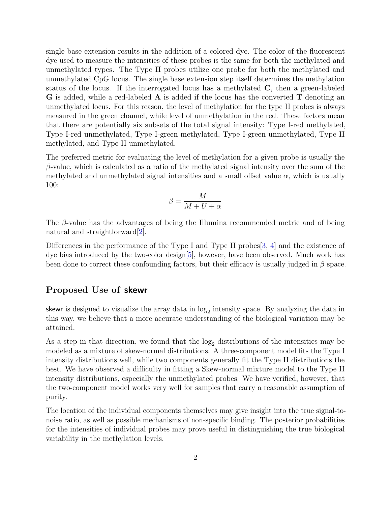single base extension results in the addition of a colored dye. The color of the fluorescent dye used to measure the intensities of these probes is the same for both the methylated and unmethylated types. The Type II probes utilize one probe for both the methylated and unmethylated CpG locus. The single base extension step itself determines the methylation status of the locus. If the interrogated locus has a methylated C, then a green-labeled **G** is added, while a red-labeled **A** is added if the locus has the converted **T** denoting an unmethylated locus. For this reason, the level of methylation for the type II probes is always measured in the green channel, while level of unmethylation in the red. These factors mean that there are potentially six subsets of the total signal intensity: Type I-red methylated, Type I-red unmethylated, Type I-green methylated, Type I-green unmethylated, Type II methylated, and Type II unmethylated.

The preferred metric for evaluating the level of methylation for a given probe is usually the  $\beta$ -value, which is calculated as a ratio of the methylated signal intensity over the sum of the methylated and unmethylated signal intensities and a small offset value  $\alpha$ , which is usually 100:

$$
\beta = \frac{M}{M+U+\alpha}
$$

The  $\beta$ -value has the advantages of being the Illumina recommended metric and of being natural and straightforward[\[2\]](#page-11-1).

Differences in the performance of the Type I and Type II probes [\[3,](#page-11-2) [4\]](#page-11-3) and the existence of dye bias introduced by the two-color design[\[5\]](#page-11-4), however, have been observed. Much work has been done to correct these confounding factors, but their efficacy is usually judged in  $\beta$  space.

### Proposed Use of skewr

skewr is designed to visualize the array data in  $log_2$  intensity space. By analyzing the data in this way, we believe that a more accurate understanding of the biological variation may be attained.

As a step in that direction, we found that the  $log<sub>2</sub>$  distributions of the intensities may be modeled as a mixture of skew-normal distributions. A three-component model fits the Type I intensity distributions well, while two components generally fit the Type II distributions the best. We have observed a difficulty in fitting a Skew-normal mixture model to the Type II intensity distributions, especially the unmethylated probes. We have verified, however, that the two-component model works very well for samples that carry a reasonable assumption of purity.

The location of the individual components themselves may give insight into the true signal-tonoise ratio, as well as possible mechanisms of non-specific binding. The posterior probabilities for the intensities of individual probes may prove useful in distinguishing the true biological variability in the methylation levels.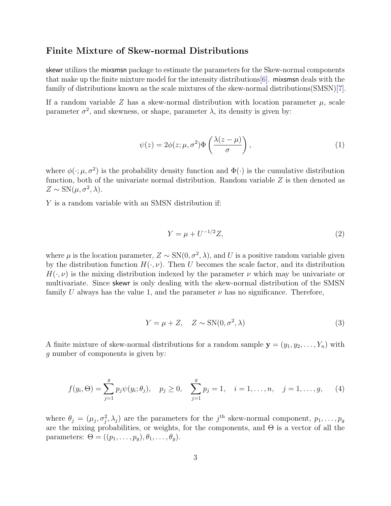### Finite Mixture of Skew-normal Distributions

skewr utilizes the mixsmsn package to estimate the parameters for the Skew-normal components that make up the finite mixture model for the intensity distributions  $[6]$ . mixsms deals with the family of distributions known as the scale mixtures of the skew-normal distributions(SMSN)[\[7\]](#page-11-6).

If a random variable Z has a skew-normal distribution with location parameter  $\mu$ , scale parameter  $\sigma^2$ , and skewness, or shape, parameter  $\lambda$ , its density is given by:

$$
\psi(z) = 2\phi(z;\mu,\sigma^2)\Phi\left(\frac{\lambda(z-\mu)}{\sigma}\right),\tag{1}
$$

where  $\phi(\cdot;\mu,\sigma^2)$  is the probability density function and  $\Phi(\cdot)$  is the cumulative distribution function, both of the univariate normal distribution. Random variable  $Z$  is then denoted as  $Z \sim SN(\mu, \sigma^2, \lambda).$ 

Y is a random variable with an SMSN distribution if:

$$
Y = \mu + U^{-1/2}Z,\t\t(2)
$$

where  $\mu$  is the location parameter,  $Z \sim SN(0, \sigma^2, \lambda)$ , and U is a positive random variable given by the distribution function  $H(\cdot, \nu)$ . Then U becomes the scale factor, and its distribution  $H(\cdot, \nu)$  is the mixing distribution indexed by the parameter  $\nu$  which may be univariate or multivariate. Since skewr is only dealing with the skew-normal distribution of the SMSN family U always has the value 1, and the parameter  $\nu$  has no significance. Therefore,

$$
Y = \mu + Z, \quad Z \sim SN(0, \sigma^2, \lambda)
$$
\n(3)

A finite mixture of skew-normal distributions for a random sample  $\mathbf{y} = (y_1, y_2, \dots, Y_n)$  with g number of components is given by:

$$
f(y_i, \Theta) = \sum_{j=1}^{g} p_j \psi(y_i; \theta_j), \quad p_j \ge 0, \quad \sum_{j=1}^{g} p_j = 1, \quad i = 1, \dots, n, \quad j = 1, \dots, g,
$$
 (4)

where  $\theta_j = (\mu_j, \sigma_j^2, \lambda_j)$  are the parameters for the j<sup>th</sup> skew-normal component,  $p_1, \ldots, p_g$ are the mixing probabilities, or weights, for the components, and Θ is a vector of all the parameters:  $\Theta = ((p_1, \ldots, p_g), \theta_1, \ldots, \theta_q).$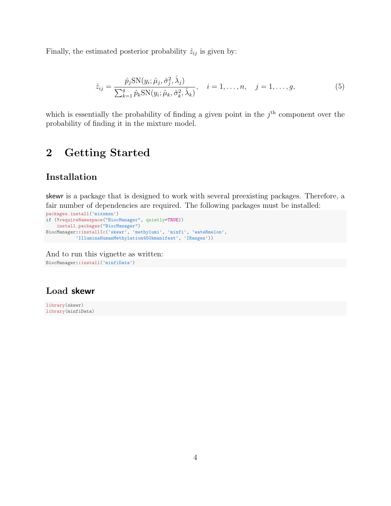Finally, the estimated posterior probability  $\hat{z}_{ij}$  is given by:

$$
\hat{z}_{ij} = \frac{\hat{p}_j \text{SN}(y_i; \hat{\mu}_j, \hat{\sigma}_j^2, \hat{\lambda}_j)}{\sum_{k=1}^g \hat{p}_k \text{SN}(y_i; \hat{\mu}_k, \hat{\sigma}_k^2, \hat{\lambda}_k)}, \quad i = 1, \dots, n, \quad j = 1, \dots, g,
$$
\n(5)

which is essentially the probability of finding a given point in the  $j<sup>th</sup>$  component over the probability of finding it in the mixture model.

# 2 Getting Started

## Installation

skewr is a package that is designed to work with several preexisting packages. Therefore, a fair number of dependencies are required. The following packages must be installed:

```
packages.install('mixsmsn')
if (!requireNamespace("BiocManager", quietly=TRUE))
   install.packages("BiocManager")
BiocManager::install(c('skewr', 'methylumi', 'minfi', 'wateRmelon',
          'IlluminaHumanMethylation450kmanifest', 'IRanges'))
```
And to run this vignette as written: BiocManager::install('minfiData')

## Load skewr

library(skewr) library(minfiData)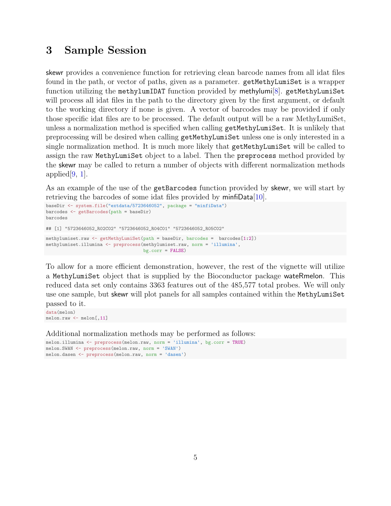# 3 Sample Session

skewr provides a convenience function for retrieving clean barcode names from all idat files found in the path, or vector of paths, given as a parameter. getMethyLumiSet is a wrapper function utilizing the methylumIDAT function provided by methylumi<sup>[\[8\]](#page-11-7)</sup>. getMethyLumiSet will process all idat files in the path to the directory given by the first argument, or default to the working directory if none is given. A vector of barcodes may be provided if only those specific idat files are to be processed. The default output will be a raw MethyLumiSet, unless a normalization method is specified when calling getMethyLumiSet. It is unlikely that preprocessing will be desired when calling getMethyLumiSet unless one is only interested in a single normalization method. It is much more likely that getMethyLumiSet will be called to assign the raw MethyLumiSet object to a label. Then the preprocess method provided by the skewr may be called to return a number of objects with different normalization methods applied $[9, 1]$  $[9, 1]$  $[9, 1]$ .

As an example of the use of the getBarcodes function provided by skewr, we will start by retrieving the barcodes of some idat files provided by minfiData[\[10\]](#page-12-0).

```
baseDir <- system.file("extdata/5723646052", package = "minfiData")
barcodes <- getBarcodes(path = baseDir)
barcodes
## [1] "5723646052_R02C02" "5723646052_R04C01" "5723646052_R05C02"
methylumiset.raw <- getMethyLumiSet(path = baseDir, barcodes = barcodes[1:2])
methylumiset.illumina <- preprocess(methylumiset.raw, norm = 'illumina',
                                   bg.corr = FALSE)
```
To allow for a more efficient demonstration, however, the rest of the vignette will utilize a MethyLumiSet object that is supplied by the Bioconductor package wateRmelon. This reduced data set only contains 3363 features out of the 485,577 total probes. We will only use one sample, but skewr will plot panels for all samples contained within the MethyLumiSet passed to it.

```
data(melon)
melon.raw <- melon[,11]
```
Additional normalization methods may be performed as follows:

melon.illumina <- preprocess(melon.raw, norm = 'illumina', bg.corr = TRUE) melon.SWAN <- preprocess(melon.raw, norm = 'SWAN') melon.dasen <- preprocess(melon.raw, norm = 'dasen')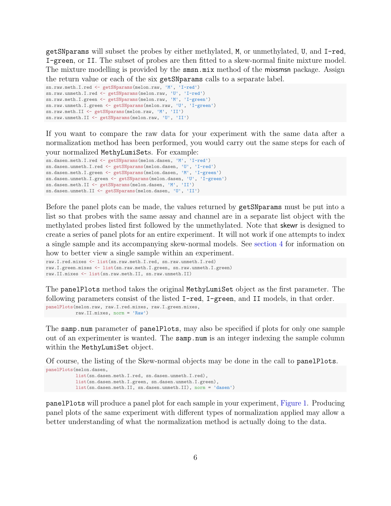getSNparams will subset the probes by either methylated, M, or unmethylated, U, and I-red, I-green, or II. The subset of probes are then fitted to a skew-normal finite mixture model. The mixture modelling is provided by the smsn.mix method of the mixsmsn package. Assign the return value or each of the six getSNparams calls to a separate label.

```
sn.raw.meth.I.red <- getSNparams(melon.raw, 'M', 'I-red')
sn.raw.unmeth.I.red <- getSNparams(melon.raw, 'U', 'I-red')
sn.raw.meth.I.green <- getSNparams(melon.raw, 'M', 'I-green')
sn.raw.unmeth.I.green <- getSNparams(melon.raw, 'U', 'I-green')
sn.raw.meth.II <- getSNparams(melon.raw, 'M', 'II')
sn.raw.unmeth.II <- getSNparams(melon.raw, 'U', 'II')
```
If you want to compare the raw data for your experiment with the same data after a normalization method has been performed, you would carry out the same steps for each of

your normalized MethyLumiSets. For example:

```
sn.dasen.meth.I.red <- getSNparams(melon.dasen, 'M', 'I-red')
sn.dasen.unmeth.I.red <- getSNparams(melon.dasen, 'U', 'I-red')
sn.dasen.meth.I.green <- getSNparams(melon.dasen, 'M', 'I-green')
sn.dasen.unmeth.I.green <- getSNparams(melon.dasen, 'U', 'I-green')
sn.dasen.meth.II <- getSNparams(melon.dasen, 'M', 'II')
sn.dasen.unmeth.II <- getSNparams(melon.dasen, 'U', 'II')
```
Before the panel plots can be made, the values returned by getSNparams must be put into a list so that probes with the same assay and channel are in a separate list object with the methylated probes listed first followed by the unmethylated. Note that skewr is designed to create a series of panel plots for an entire experiment. It will not work if one attempts to index a single sample and its accompanying skew-normal models. See [section 4](#page-7-0) for information on how to better view a single sample within an experiment.

```
raw.I.red.mixes <- list(sn.raw.meth.I.red, sn.raw.unmeth.I.red)
raw.I.green.mixes <- list(sn.raw.meth.I.green, sn.raw.unmeth.I.green)
raw.II.mixes <- list(sn.raw.meth.II, sn.raw.unmeth.II)
```
The panelPlots method takes the original MethyLumiSet object as the first parameter. The following parameters consist of the listed I-red, I-green, and II models, in that order.

```
panelPlots(melon.raw, raw.I.red.mixes, raw.I.green.mixes,
           raw.II.mixes, norm = 'Raw')
```
The samp.num parameter of panelPlots, may also be specified if plots for only one sample out of an experimenter is wanted. The samp.num is an integer indexing the sample column within the MethyLumiSet object.

Of course, the listing of the Skew-normal objects may be done in the call to panelPlots.

```
panelPlots(melon.dasen,
           list(sn.dasen.meth.I.red, sn.dasen.unmeth.I.red),
           list(sn.dasen.meth.I.green, sn.dasen.unmeth.I.green),
           list(sn.dasen.meth.II, sn.dasen.unmeth.II), norm = 'dasen')
```
panelPlots will produce a panel plot for each sample in your experiment, [Figure 1.](#page-6-0) Producing panel plots of the same experiment with different types of normalization applied may allow a better understanding of what the normalization method is actually doing to the data.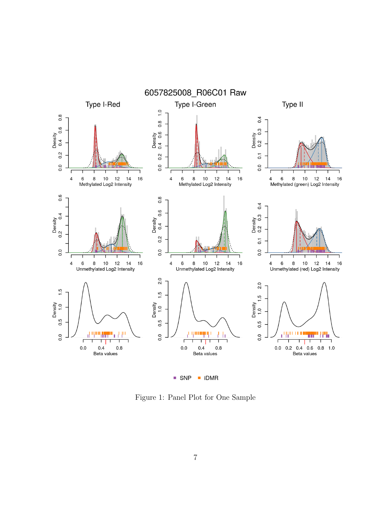

<span id="page-6-0"></span>Figure 1: Panel Plot for One Sample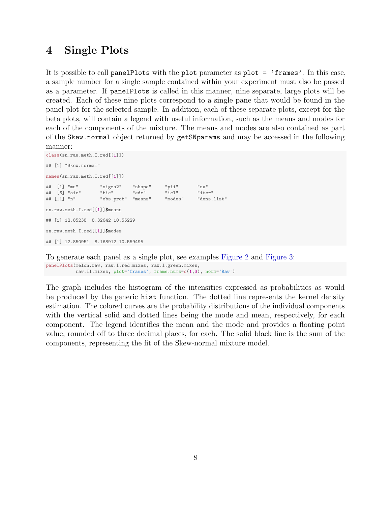## <span id="page-7-0"></span>4 Single Plots

It is possible to call panelPlots with the plot parameter as plot = 'frames'. In this case, a sample number for a single sample contained within your experiment must also be passed as a parameter. If panelPlots is called in this manner, nine separate, large plots will be created. Each of these nine plots correspond to a single pane that would be found in the panel plot for the selected sample. In addition, each of these separate plots, except for the beta plots, will contain a legend with useful information, such as the means and modes for each of the components of the mixture. The means and modes are also contained as part of the Skew.normal object returned by getSNparams and may be accessed in the following manner:

```
class(sn.raw.meth.I.red[[1]])
## [1] "Skew.normal"
names(sn.raw.meth.I.red[[1]])
## [1] "mu" "sigma2" "shape" "pii" "nu"
## [6] "aic"
## [11] "n" "obs.prob" "means" "modes" "dens.list"
sn.raw.meth.I.red[[1]]$means
## [1] 12.85238 8.32642 10.55229
sn.raw.meth.I.red[[1]]$modes
## [1] 12.850951 8.168912 10.559495
```
To generate each panel as a single plot, see examples [Figure 2](#page-8-0) and [Figure 3:](#page-9-0) panelPlots(melon.raw, raw.I.red.mixes, raw.I.green.mixes, raw.II.mixes, plot='frames', frame.nums=c(1,3), norm='Raw')

The graph includes the histogram of the intensities expressed as probabilities as would be produced by the generic hist function. The dotted line represents the kernel density estimation. The colored curves are the probability distributions of the individual components with the vertical solid and dotted lines being the mode and mean, respectively, for each component. The legend identifies the mean and the mode and provides a floating point value, rounded off to three decimal places, for each. The solid black line is the sum of the components, representing the fit of the Skew-normal mixture model.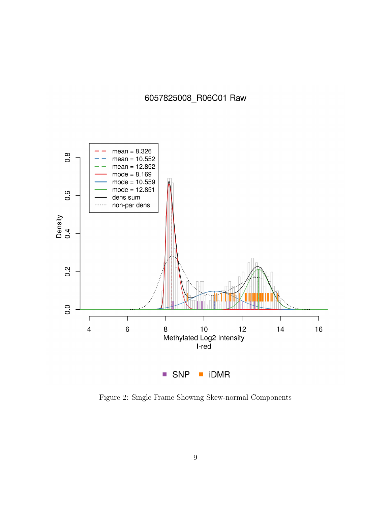6057825008\_R06C01 Raw



<span id="page-8-0"></span>Figure 2: Single Frame Showing Skew-normal Components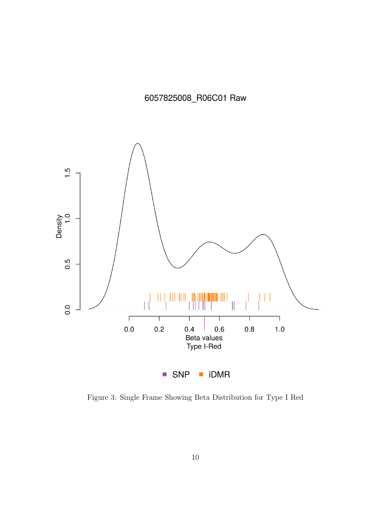6057825008\_R06C01 Raw



<span id="page-9-0"></span>Figure 3: Single Frame Showing Beta Distribution for Type I Red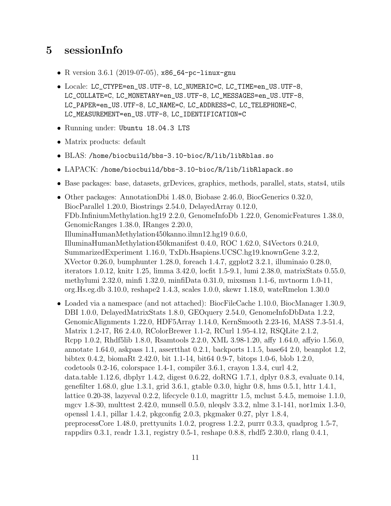# 5 sessionInfo

- R version 3.6.1 (2019-07-05),  $x86_64$ -pc-linux-gnu
- Locale: LC\_CTYPE=en\_US.UTF-8, LC\_NUMERIC=C, LC\_TIME=en\_US.UTF-8, LC\_COLLATE=C, LC\_MONETARY=en\_US.UTF-8, LC\_MESSAGES=en\_US.UTF-8, LC\_PAPER=en\_US.UTF-8, LC\_NAME=C, LC\_ADDRESS=C, LC\_TELEPHONE=C, LC\_MEASUREMENT=en\_US.UTF-8, LC\_IDENTIFICATION=C
- Running under: Ubuntu 18.04.3 LTS
- Matrix products: default
- BLAS: /home/biocbuild/bbs-3.10-bioc/R/lib/libRblas.so
- LAPACK: /home/biocbuild/bbs-3.10-bioc/R/lib/libRlapack.so
- Base packages: base, datasets, grDevices, graphics, methods, parallel, stats, stats4, utils
- Other packages: AnnotationDbi 1.48.0, Biobase 2.46.0, BiocGenerics 0.32.0, BiocParallel 1.20.0, Biostrings 2.54.0, DelayedArray 0.12.0, FDb.InfiniumMethylation.hg19 2.2.0, GenomeInfoDb 1.22.0, GenomicFeatures 1.38.0, GenomicRanges 1.38.0, IRanges 2.20.0, IlluminaHumanMethylation450kanno.ilmn12.hg19 0.6.0, IlluminaHumanMethylation450kmanifest 0.4.0, ROC 1.62.0, S4Vectors 0.24.0, SummarizedExperiment 1.16.0, TxDb.Hsapiens.UCSC.hg19.knownGene 3.2.2, XVector 0.26.0, bumphunter 1.28.0, foreach 1.4.7, ggplot2 3.2.1, illuminaio 0.28.0, iterators 1.0.12, knitr 1.25, limma 3.42.0, locfit 1.5-9.1, lumi 2.38.0, matrixStats 0.55.0, methylumi 2.32.0, minfi 1.32.0, minfiData 0.31.0, mixsmsn 1.1-6, mvtnorm 1.0-11, org.Hs.eg.db 3.10.0, reshape2 1.4.3, scales 1.0.0, skewr 1.18.0, wateRmelon 1.30.0
- Loaded via a namespace (and not attached): BiocFileCache 1.10.0, BiocManager 1.30.9, DBI 1.0.0, DelayedMatrixStats 1.8.0, GEOquery 2.54.0, GenomeInfoDbData 1.2.2, GenomicAlignments 1.22.0, HDF5Array 1.14.0, KernSmooth 2.23-16, MASS 7.3-51.4, Matrix 1.2-17, R6 2.4.0, RColorBrewer 1.1-2, RCurl 1.95-4.12, RSQLite 2.1.2, Rcpp 1.0.2, Rhdf5lib 1.8.0, Rsamtools 2.2.0, XML 3.98-1.20, affy 1.64.0, affyio 1.56.0, annotate 1.64.0, askpass 1.1, assertthat 0.2.1, backports 1.1.5, base64 2.0, beanplot 1.2, bibtex 0.4.2, biomaRt 2.42.0, bit 1.1-14, bit64 0.9-7, bitops 1.0-6, blob 1.2.0, codetools 0.2-16, colorspace 1.4-1, compiler 3.6.1, crayon 1.3.4, curl 4.2, data.table 1.12.6, dbplyr 1.4.2, digest 0.6.22, doRNG 1.7.1, dplyr 0.8.3, evaluate 0.14, genefilter 1.68.0, glue 1.3.1, grid 3.6.1, gtable 0.3.0, highr 0.8, hms 0.5.1, httr 1.4.1, lattice 0.20-38, lazyeval 0.2.2, lifecycle 0.1.0, magrittr 1.5, mclust 5.4.5, memoise 1.1.0, mgcv 1.8-30, multtest 2.42.0, munsell 0.5.0, nleqslv 3.3.2, nlme 3.1-141, nor1mix 1.3-0, openssl 1.4.1, pillar 1.4.2, pkgconfig 2.0.3, pkgmaker 0.27, plyr 1.8.4, preprocessCore 1.48.0, prettyunits 1.0.2, progress 1.2.2, purrr 0.3.3, quadprog 1.5-7, rappdirs 0.3.1, readr 1.3.1, registry 0.5-1, reshape 0.8.8, rhdf5 2.30.0, rlang 0.4.1,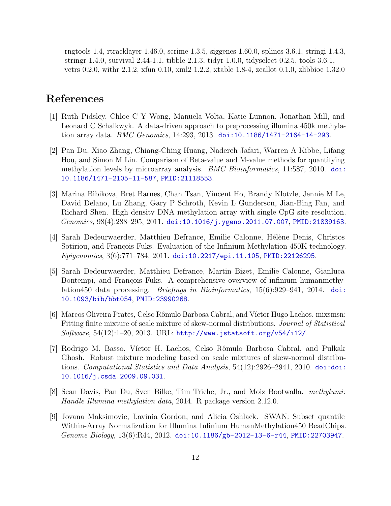rngtools 1.4, rtracklayer 1.46.0, scrime 1.3.5, siggenes 1.60.0, splines 3.6.1, stringi 1.4.3, stringr 1.4.0, survival 2.44-1.1, tibble 2.1.3, tidyr 1.0.0, tidyselect 0.2.5, tools 3.6.1, vctrs 0.2.0, withr 2.1.2, xfun 0.10, xml2 1.2.2, xtable 1.8-4, zeallot 0.1.0, zlibbioc 1.32.0

# References

- <span id="page-11-0"></span>[1] Ruth Pidsley, Chloe C Y Wong, Manuela Volta, Katie Lunnon, Jonathan Mill, and Leonard C Schalkwyk. A data-driven approach to preprocessing illumina 450k methylation array data. BMC Genomics, 14:293, 2013. [doi:10.1186/1471-2164-14-293](http://dx.doi.org/10.1186/1471-2164-14-293).
- <span id="page-11-1"></span>[2] Pan Du, Xiao Zhang, Chiang-Ching Huang, Nadereh Jafari, Warren A Kibbe, Lifang Hou, and Simon M Lin. Comparison of Beta-value and M-value methods for quantifying methylation levels by microarray analysis. *BMC Bioinformatics*, 11:587, 2010. [doi:](http://dx.doi.org/10.1186/1471-2105-11-587) [10.1186/1471-2105-11-587](http://dx.doi.org/10.1186/1471-2105-11-587), [PMID:21118553](http://www.ncbi.nlm.nih.gov/pubmed/21118553).
- <span id="page-11-2"></span>[3] Marina Bibikova, Bret Barnes, Chan Tsan, Vincent Ho, Brandy Klotzle, Jennie M Le, David Delano, Lu Zhang, Gary P Schroth, Kevin L Gunderson, Jian-Bing Fan, and Richard Shen. High density DNA methylation array with single CpG site resolution.  $Genomics, 98(4):288-295, 2011.$  [doi:10.1016/j.ygeno.2011.07.007](http://dx.doi.org/10.1016/j.ygeno.2011.07.007), [PMID:21839163](http://www.ncbi.nlm.nih.gov/pubmed/21839163).
- <span id="page-11-3"></span>[4] Sarah Dedeurwaerder, Matthieu Defrance, Emilie Calonne, Hélène Denis, Christos Sotiriou, and François Fuks. Evaluation of the Infinium Methylation 450K technology. Epigenomics, 3(6):771–784, 2011. [doi:10.2217/epi.11.105](http://dx.doi.org/10.2217/epi.11.105), [PMID:22126295](http://www.ncbi.nlm.nih.gov/pubmed/22126295).
- <span id="page-11-4"></span>[5] Sarah Dedeurwaerder, Matthieu Defrance, Martin Bizet, Emilie Calonne, Gianluca Bontempi, and François Fuks. A comprehensive overview of infinium humanmethylation450 data processing. *Briefings in Bioinformatics*,  $15(6):929-941$ ,  $2014$ . [doi:](http://dx.doi.org/10.1093/bib/bbt054) [10.1093/bib/bbt054](http://dx.doi.org/10.1093/bib/bbt054), [PMID:23990268](http://www.ncbi.nlm.nih.gov/pubmed/23990268).
- <span id="page-11-5"></span>[6] Marcos Oliveira Prates, Celso Rômulo Barbosa Cabral, and Víctor Hugo Lachos. mixsmsn: Fitting finite mixture of scale mixture of skew-normal distributions. Journal of Statistical Software,  $54(12):1-20$ ,  $2013$ . URL:  $http://www.jstatsoft.org/v54/i12/$ .
- <span id="page-11-6"></span>[7] Rodrigo M. Basso, V´ıctor H. Lachos, Celso Rˆomulo Barbosa Cabral, and Pulkak Ghosh. Robust mixture modeling based on scale mixtures of skew-normal distributions. Computational Statistics and Data Analysis, 54(12):2926–2941, 2010. [doi:doi:](http://dx.doi.org/doi:10.1016/j.csda.2009.09.031) [10.1016/j.csda.2009.09.031](http://dx.doi.org/doi:10.1016/j.csda.2009.09.031).
- <span id="page-11-7"></span>[8] Sean Davis, Pan Du, Sven Bilke, Tim Triche, Jr., and Moiz Bootwalla. methylumi: Handle Illumina methylation data, 2014. R package version 2.12.0.
- <span id="page-11-8"></span>[9] Jovana Maksimovic, Lavinia Gordon, and Alicia Oshlack. SWAN: Subset quantile Within-Array Normalization for Illumina Infinium HumanMethylation450 BeadChips. Genome Biology,  $13(6)$ :R44,  $2012$ . [doi:10.1186/gb-2012-13-6-r44](http://dx.doi.org/10.1186/gb-2012-13-6-r44), [PMID:22703947](http://www.ncbi.nlm.nih.gov/pubmed/22703947).